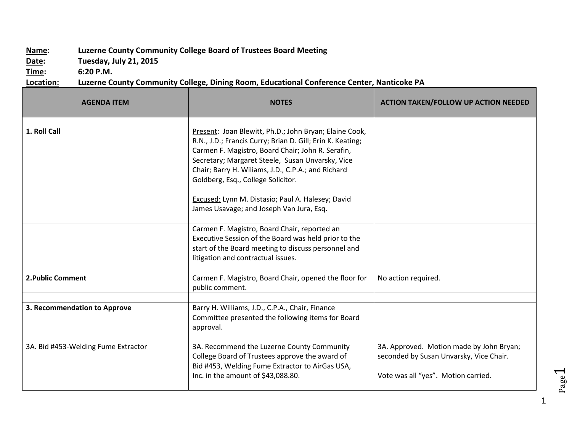## **Name: Luzerne County Community College Board of Trustees Board Meeting**

**Date: Tuesday, July 21, 2015**

**Time: 6:20 P.M.**

**Location: Luzerne County Community College, Dining Room, Educational Conference Center, Nanticoke PA**

| <b>AGENDA ITEM</b>                  | <b>NOTES</b>                                                                                                                                                                                                                                                                                                                                                                                                               | <b>ACTION TAKEN/FOLLOW UP ACTION NEEDED</b>                                                                                |
|-------------------------------------|----------------------------------------------------------------------------------------------------------------------------------------------------------------------------------------------------------------------------------------------------------------------------------------------------------------------------------------------------------------------------------------------------------------------------|----------------------------------------------------------------------------------------------------------------------------|
| 1. Roll Call                        | Present: Joan Blewitt, Ph.D.; John Bryan; Elaine Cook,<br>R.N., J.D.; Francis Curry; Brian D. Gill; Erin K. Keating;<br>Carmen F. Magistro, Board Chair; John R. Serafin,<br>Secretary; Margaret Steele, Susan Unvarsky, Vice<br>Chair; Barry H. Wiliams, J.D., C.P.A.; and Richard<br>Goldberg, Esq., College Solicitor.<br>Excused: Lynn M. Distasio; Paul A. Halesey; David<br>James Usavage; and Joseph Van Jura, Esq. |                                                                                                                            |
|                                     | Carmen F. Magistro, Board Chair, reported an<br>Executive Session of the Board was held prior to the<br>start of the Board meeting to discuss personnel and<br>litigation and contractual issues.                                                                                                                                                                                                                          |                                                                                                                            |
| 2. Public Comment                   | Carmen F. Magistro, Board Chair, opened the floor for<br>public comment.                                                                                                                                                                                                                                                                                                                                                   | No action required.                                                                                                        |
| 3. Recommendation to Approve        | Barry H. Williams, J.D., C.P.A., Chair, Finance<br>Committee presented the following items for Board<br>approval.                                                                                                                                                                                                                                                                                                          |                                                                                                                            |
| 3A. Bid #453-Welding Fume Extractor | 3A. Recommend the Luzerne County Community<br>College Board of Trustees approve the award of<br>Bid #453, Welding Fume Extractor to AirGas USA,<br>Inc. in the amount of \$43,088.80.                                                                                                                                                                                                                                      | 3A. Approved. Motion made by John Bryan;<br>seconded by Susan Unvarsky, Vice Chair.<br>Vote was all "yes". Motion carried. |

1